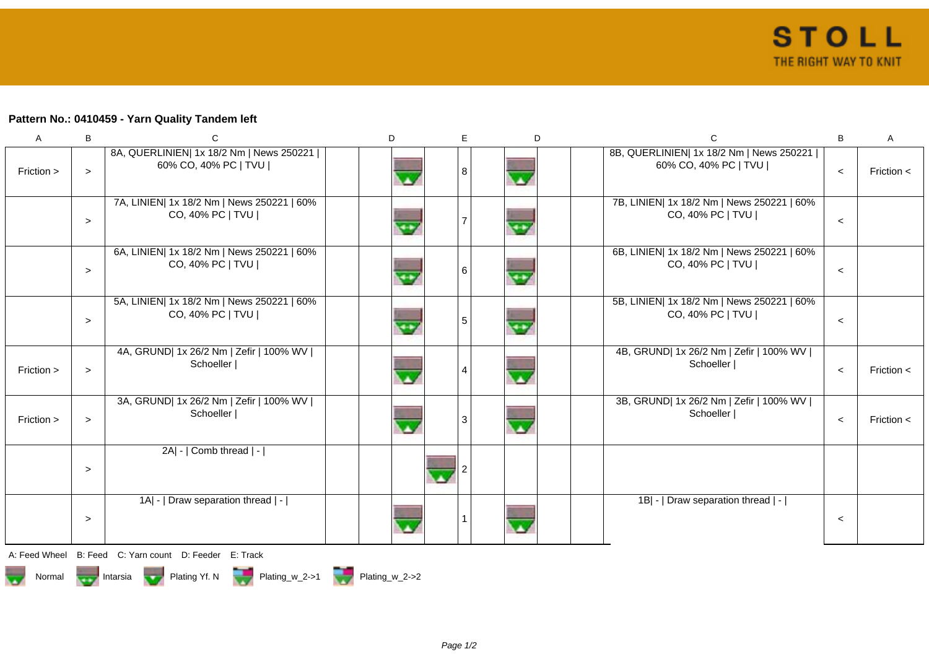## **Pattern No.: 0410459 - Yarn Quality Tandem left**

| A          | B      | C                                                                  | D | E | D                                   | C                                                                  | B       | A              |
|------------|--------|--------------------------------------------------------------------|---|---|-------------------------------------|--------------------------------------------------------------------|---------|----------------|
| Friction > | $\geq$ | 8A, QUERLINIEN  1x 18/2 Nm   News 250221  <br>60% CO, 40% PC   TVU |   | 8 | $\overline{\mathbf{A}}$             | 8B, QUERLINIEN  1x 18/2 Nm   News 250221  <br>60% CO, 40% PC   TVU | $\prec$ | Friction $\lt$ |
|            | $\geq$ | 7A, LINIEN  1x 18/2 Nm   News 250221   60%<br>CO, 40% PC   TVU     |   |   | e+                                  | 7B, LINIEN  1x 18/2 Nm   News 250221   60%<br>CO, 40% PC   TVU     | $\prec$ |                |
|            | $\geq$ | 6A, LINIEN  1x 18/2 Nm   News 250221   60%<br>CO, 40% PC   TVU     |   | 6 | $\overline{\mathbf{r}^{\mathbf{r}}$ | 6B, LINIEN  1x 18/2 Nm   News 250221   60%<br>CO, 40% PC   TVU     | $\prec$ |                |
|            | $\geq$ | 5A, LINIEN  1x 18/2 Nm   News 250221   60%<br>CO, 40% PC   TVU     |   | 5 | $\overline{\mathbf{r}^{\mathbf{t}}$ | 5B, LINIEN  1x 18/2 Nm   News 250221   60%<br>CO, 40% PC   TVU     | $\prec$ |                |
| Friction > | $\geq$ | 4A, GRUND  1x 26/2 Nm   Zefir   100% WV  <br>Schoeller             |   | 4 | $\overline{\mathbf{A}}$             | 4B, GRUND  1x 26/2 Nm   Zefir   100% WV  <br>Schoeller             | $\prec$ | Friction $\lt$ |
| Friction > | $\geq$ | 3A, GRUND  1x 26/2 Nm   Zefir   100% WV  <br>Schoeller             |   | 3 | $\overline{\mathbf{v}}$             | 3B, GRUND  1x 26/2 Nm   Zefir   100% WV  <br>Schoeller             | $\prec$ | Friction $\lt$ |
|            | $\geq$ | 2A  -   Comb thread   -                                            |   |   |                                     |                                                                    |         |                |
|            | $\,>$  | 1A  -   Draw separation thread   -                                 |   |   |                                     | 1B  -   Draw separation thread   -                                 | $\prec$ |                |
|            |        | A Egod Whool B Egod C Varn count D Egodor E Track                  |   |   |                                     |                                                                    |         |                |

A: Feed Wheel B: Feed C: Yarn count D: Feeder E: Track



Page 1/2